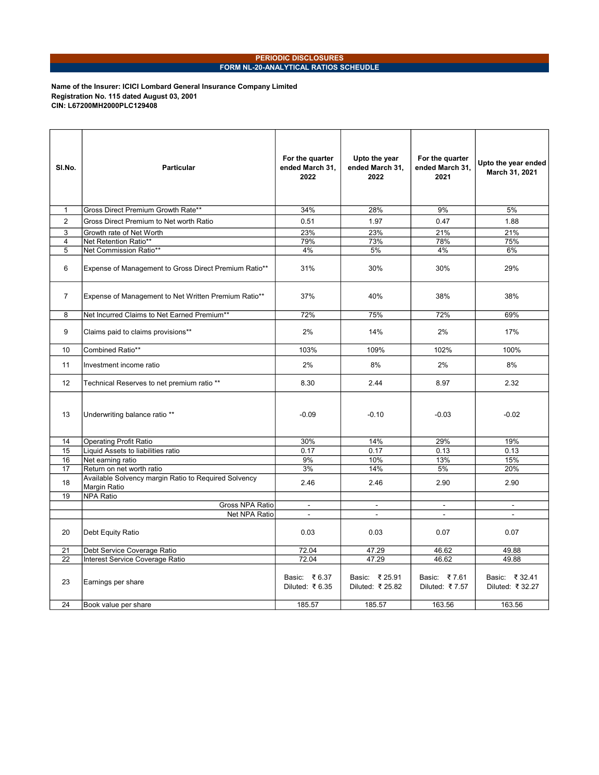## PERIODIC DISCLOSURES FORM NL-20-ANALYTICAL RATIOS SCHEUDLE

Name of the Insurer: ICICI Lombard General Insurance Company Limited Registration No. 115 dated August 03, 2001 CIN: L67200MH2000PLC129408

| SI.No.         | <b>Particular</b>                                                    | For the quarter<br>ended March 31,<br>2022 | Upto the year<br>ended March 31,<br>2022 | For the quarter<br>ended March 31,<br>2021 | Upto the year ended<br>March 31, 2021 |
|----------------|----------------------------------------------------------------------|--------------------------------------------|------------------------------------------|--------------------------------------------|---------------------------------------|
| $\mathbf{1}$   | Gross Direct Premium Growth Rate**                                   | 34%                                        | 28%                                      | 9%                                         | 5%                                    |
| $\overline{2}$ | Gross Direct Premium to Net worth Ratio                              | 0.51                                       | 1.97                                     | 0.47                                       | 1.88                                  |
| 3              | Growth rate of Net Worth                                             | 23%                                        | 23%                                      | 21%                                        | 21%                                   |
| 4              | Net Retention Ratio**                                                | 79%                                        | 73%                                      | 78%                                        | 75%                                   |
| 5              | Net Commission Ratio**                                               | 4%                                         | 5%                                       | 4%                                         | 6%                                    |
| 6              | Expense of Management to Gross Direct Premium Ratio**                | 31%                                        | 30%                                      | 30%                                        | 29%                                   |
| $\overline{7}$ | Expense of Management to Net Written Premium Ratio**                 | 37%                                        | 40%                                      | 38%                                        | 38%                                   |
| 8              | Net Incurred Claims to Net Earned Premium**                          | 72%                                        | 75%                                      | 72%                                        | 69%                                   |
| 9              | Claims paid to claims provisions**                                   | 2%                                         | 14%                                      | 2%                                         | 17%                                   |
| 10             | Combined Ratio**                                                     | 103%                                       | 109%                                     | 102%                                       | 100%                                  |
| 11             | Investment income ratio                                              | 2%                                         | 8%                                       | 2%                                         | 8%                                    |
| 12             | Technical Reserves to net premium ratio **                           | 8.30                                       | 2.44                                     | 8.97                                       | 2.32                                  |
| 13             | Underwriting balance ratio **                                        | $-0.09$                                    | $-0.10$                                  | $-0.03$                                    | $-0.02$                               |
| 14             | <b>Operating Profit Ratio</b>                                        | 30%                                        | 14%                                      | 29%                                        | 19%                                   |
| 15             | Liquid Assets to liabilities ratio                                   | 0.17                                       | 0.17                                     | 0.13                                       | 0.13                                  |
| 16             | Net earning ratio                                                    | 9%                                         | 10%                                      | 13%                                        | 15%                                   |
| 17             | Return on net worth ratio                                            | 3%                                         | 14%                                      | 5%                                         | 20%                                   |
| 18             | Available Solvency margin Ratio to Required Solvency<br>Margin Ratio | 2.46                                       | 2.46                                     | 2.90                                       | 2.90                                  |
| 19             | <b>NPA Ratio</b>                                                     |                                            |                                          |                                            |                                       |
|                | Gross NPA Ratio                                                      | $\sim$                                     | $\blacksquare$                           | $\mathcal{L}_{\mathcal{A}}$                | $\blacksquare$                        |
|                | Net NPA Ratio                                                        | $\overline{a}$                             | $\blacksquare$                           | $\overline{a}$                             | $\overline{a}$                        |
| 20             | Debt Equity Ratio                                                    | 0.03                                       | 0.03                                     | 0.07                                       | 0.07                                  |
| 21             | Debt Service Coverage Ratio                                          | 72.04                                      | 47.29                                    | 46.62                                      | 49.88                                 |
| 22             | Interest Service Coverage Ratio                                      | 72.04                                      | 47.29                                    | 46.62                                      | 49.88                                 |
| 23             | Earnings per share                                                   | Basic: ₹6.37<br>Diluted: ₹6.35             | Basic: ₹25.91<br>Diluted: ₹ 25.82        | Basic: ₹7.61<br>Diluted: ₹7.57             | Basic: ₹32.41<br>Diluted: ₹ 32.27     |
| 24             | Book value per share                                                 | 185.57                                     | 185.57                                   | 163.56                                     | 163.56                                |